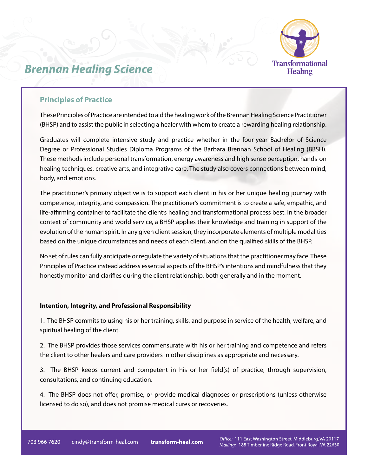

# *Brennan Healing Science*

## **Principles of Practice**

These Principles of Practice are intended to aid the healing work of the Brennan Healing Science Practitioner (BHSP) and to assist the public in selecting a healer with whom to create a rewarding healing relationship.

Graduates will complete intensive study and practice whether in the four-year Bachelor of Science Degree or Professional Studies Diploma Programs of the Barbara Brennan School of Healing (BBSH). These methods include personal transformation, energy awareness and high sense perception, hands-on healing techniques, creative arts, and integrative care. The study also covers connections between mind, body, and emotions.

The practitioner's primary objective is to support each client in his or her unique healing journey with competence, integrity, and compassion. The practitioner's commitment is to create a safe, empathic, and life-affirming container to facilitate the client's healing and transformational process best. In the broader context of community and world service, a BHSP applies their knowledge and training in support of the evolution of the human spirit. In any given client session, they incorporate elements of multiple modalities based on the unique circumstances and needs of each client, and on the qualified skills of the BHSP.

No set of rules can fully anticipate or regulate the variety of situations that the practitioner may face. These Principles of Practice instead address essential aspects of the BHSP's intentions and mindfulness that they honestly monitor and clarifies during the client relationship, both generally and in the moment.

### **Intention, Integrity, and Professional Responsibility**

1. The BHSP commits to using his or her training, skills, and purpose in service of the health, welfare, and spiritual healing of the client.

2. The BHSP provides those services commensurate with his or her training and competence and refers the client to other healers and care providers in other disciplines as appropriate and necessary.

3. The BHSP keeps current and competent in his or her field(s) of practice, through supervision, consultations, and continuing education.

4. The BHSP does not offer, promise, or provide medical diagnoses or prescriptions (unless otherwise licensed to do so), and does not promise medical cures or recoveries.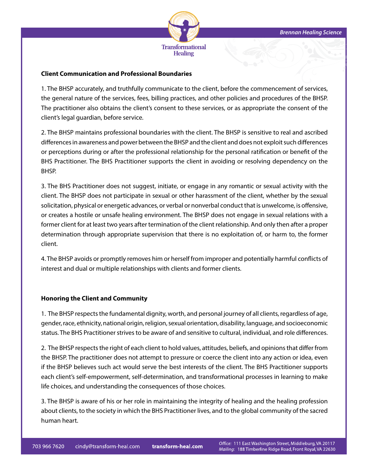

#### **Client Communication and Professional Boundaries**

1. The BHSP accurately, and truthfully communicate to the client, before the commencement of services, the general nature of the services, fees, billing practices, and other policies and procedures of the BHSP. The practitioner also obtains the client's consent to these services, or as appropriate the consent of the client's legal guardian, before service.

2. The BHSP maintains professional boundaries with the client. The BHSP is sensitive to real and ascribed differences in awareness and power between the BHSP and the client and does not exploit such differences or perceptions during or after the professional relationship for the personal ratification or benefit of the BHS Practitioner. The BHS Practitioner supports the client in avoiding or resolving dependency on the BHSP.

3. The BHS Practitioner does not suggest, initiate, or engage in any romantic or sexual activity with the client. The BHSP does not participate in sexual or other harassment of the client, whether by the sexual solicitation, physical or energetic advances, or verbal or nonverbal conduct that is unwelcome, is offensive, or creates a hostile or unsafe healing environment. The BHSP does not engage in sexual relations with a former client for at least two years after termination of the client relationship. And only then after a proper determination through appropriate supervision that there is no exploitation of, or harm to, the former client.

4. The BHSP avoids or promptly removes him or herself from improper and potentially harmful conflicts of interest and dual or multiple relationships with clients and former clients.

#### **Honoring the Client and Community**

1. The BHSP respects the fundamental dignity, worth, and personal journey of all clients, regardless of age, gender, race, ethnicity, national origin, religion, sexual orientation, disability, language, and socioeconomic status. The BHS Practitioner strives to be aware of and sensitive to cultural, individual, and role differences.

2. The BHSP respects the right of each client to hold values, attitudes, beliefs, and opinions that differ from the BHSP. The practitioner does not attempt to pressure or coerce the client into any action or idea, even if the BHSP believes such act would serve the best interests of the client. The BHS Practitioner supports each client's self-empowerment, self-determination, and transformational processes in learning to make life choices, and understanding the consequences of those choices.

3. The BHSP is aware of his or her role in maintaining the integrity of healing and the healing profession about clients, to the society in which the BHS Practitioner lives, and to the global community of the sacred human heart.